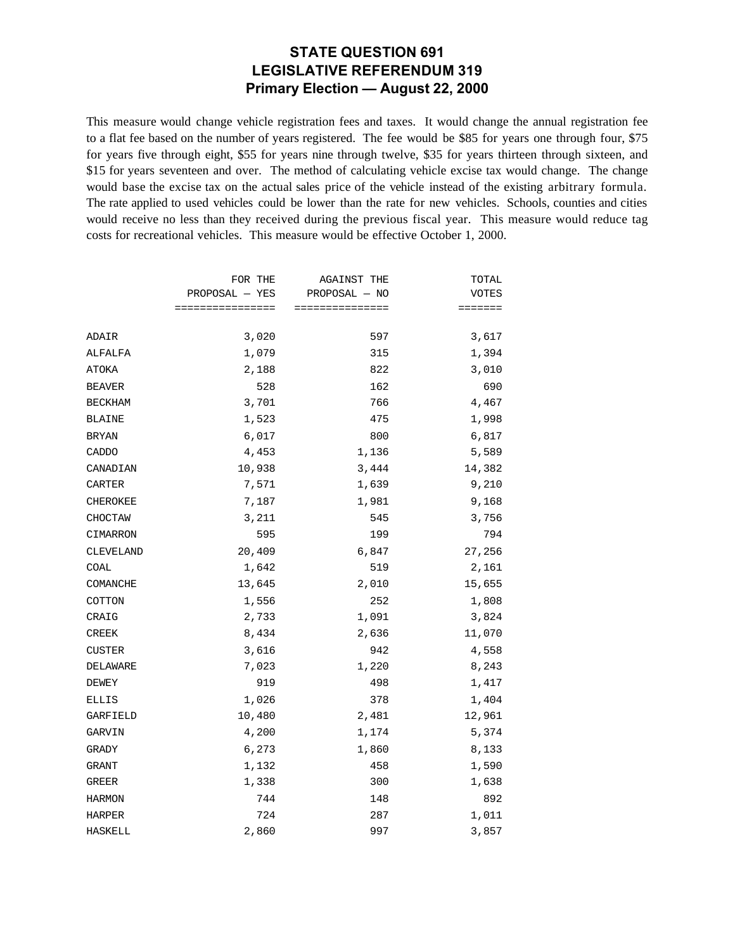### **STATE QUESTION 691 LEGISLATIVE REFERENDUM 319 Primary Election — August 22, 2000**

This measure would change vehicle registration fees and taxes. It would change the annual registration fee to a flat fee based on the number of years registered. The fee would be \$85 for years one through four, \$75 for years five through eight, \$55 for years nine through twelve, \$35 for years thirteen through sixteen, and \$15 for years seventeen and over. The method of calculating vehicle excise tax would change. The change would base the excise tax on the actual sales price of the vehicle instead of the existing arbitrary formula. The rate applied to used vehicles could be lower than the rate for new vehicles. Schools, counties and cities would receive no less than they received during the previous fiscal year. This measure would reduce tag costs for recreational vehicles. This measure would be effective October 1, 2000.

|           | FOR THE<br>$PROPOSAL - YES$ | <b>AGAINST THE</b><br>PROPOSAL - NO | TOTAL        |
|-----------|-----------------------------|-------------------------------------|--------------|
|           |                             |                                     | <b>VOTES</b> |
|           | ================            | ===============                     | =======      |
| ADAIR     | 3,020                       | 597                                 | 3,617        |
| ALFALFA   | 1,079                       | 315                                 | 1,394        |
| ATOKA     | 2,188                       | 822                                 | 3,010        |
| BEAVER    | 528                         | 162                                 | 690          |
| BECKHAM   | 3,701                       | 766                                 | 4,467        |
| BLAINE    | 1,523                       | 475                                 | 1,998        |
| BRYAN     | 6,017                       | 800                                 | 6,817        |
| CADDO     | 4,453                       | 1,136                               | 5,589        |
| CANADIAN  | 10,938                      | 3,444                               | 14,382       |
| CARTER    | 7,571                       | 1,639                               | 9,210        |
| CHEROKEE  | 7,187                       | 1,981                               | 9,168        |
| CHOCTAW   | 3,211                       | 545                                 | 3,756        |
| CIMARRON  | 595                         | 199                                 | 794          |
| CLEVELAND | 20,409                      | 6,847                               | 27,256       |
| COAL      | 1,642                       | 519                                 | 2,161        |
| COMANCHE  | 13,645                      | 2,010                               | 15,655       |
| COTTON    | 1,556                       | 252                                 | 1,808        |
| CRAIG     | 2,733                       | 1,091                               | 3,824        |
| CREEK     | 8,434                       | 2,636                               | 11,070       |
| CUSTER    | 3,616                       | 942                                 | 4,558        |
| DELAWARE  | 7,023                       | 1,220                               | 8,243        |
| DEWEY     | 919                         | 498                                 | 1,417        |
| ELLIS     | 1,026                       | 378                                 | 1,404        |
| GARFIELD  | 10,480                      | 2,481                               | 12,961       |
| GARVIN    | 4,200                       | 1,174                               | 5,374        |
| GRADY     | 6,273                       | 1,860                               | 8,133        |
| GRANT     | 1,132                       | 458                                 | 1,590        |
| GREER     | 1,338                       | 300                                 | 1,638        |
| HARMON    | 744                         | 148                                 | 892          |
| HARPER    | 724                         | 287                                 | 1,011        |
| HASKELL   | 2,860                       | 997                                 | 3,857        |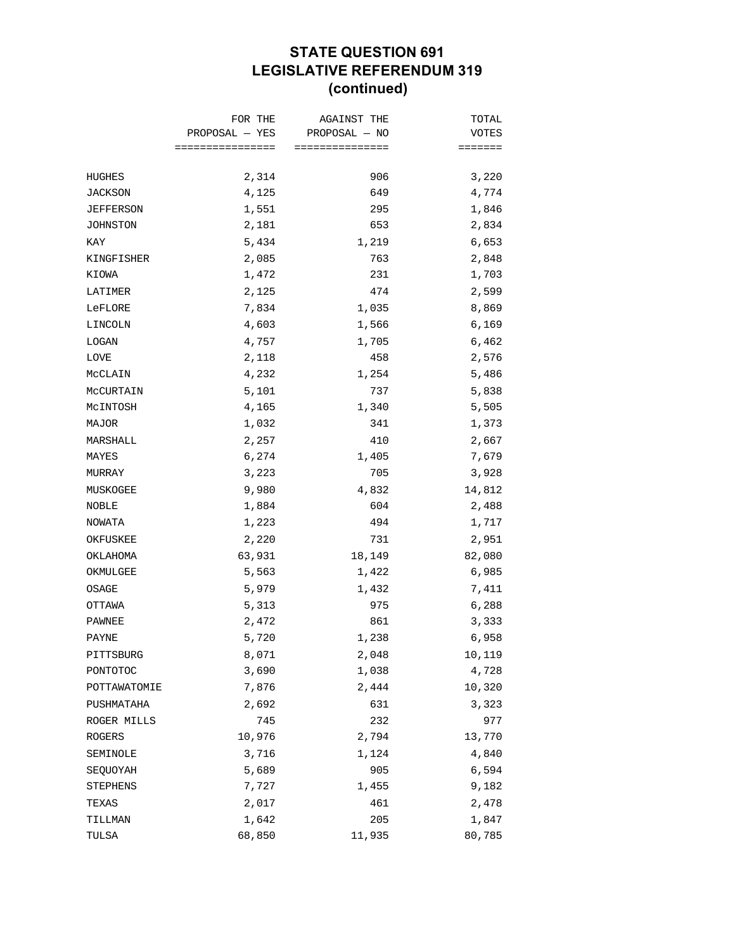## **STATE QUESTION 691 LEGISLATIVE REFERENDUM 319 (continued)**

|              | FOR THE          | <b>AGAINST THE</b> | TOTAL   |
|--------------|------------------|--------------------|---------|
|              | PROPOSAL — YES   | PROPOSAL - NO      | VOTES   |
|              | ================ | ===============    | ======= |
| HUGHES       | 2,314            | 906                | 3,220   |
| JACKSON      | 4,125            | 649                | 4,774   |
| JEFFERSON    | 1,551            | 295                | 1,846   |
| JOHNSTON     | 2,181            | 653                | 2,834   |
| KAY          | 5,434            | 1,219              | 6,653   |
| KINGFISHER   | 2,085            | 763                | 2,848   |
| KIOWA        | 1,472            | 231                | 1,703   |
| LATIMER      | 2,125            | 474                | 2,599   |
| LeFLORE      | 7,834            | 1,035              | 8,869   |
| LINCOLN      | 4,603            | 1,566              | 6,169   |
| LOGAN        | 4,757            | 1,705              | 6,462   |
| LOVE         | 2,118            | 458                | 2,576   |
| MCCLAIN      | 4,232            | 1,254              | 5,486   |
| MCCURTAIN    | 5,101            | 737                | 5,838   |
| McINTOSH     | 4,165            | 1,340              | 5,505   |
| MAJOR        | 1,032            | 341                | 1,373   |
| MARSHALL     | 2,257            | 410                | 2,667   |
| MAYES        | 6,274            | 1,405              | 7,679   |
| MURRAY       | 3,223            | 705                | 3,928   |
| MUSKOGEE     | 9,980            | 4,832              | 14,812  |
| NOBLE        | 1,884            | 604                | 2,488   |
| NOWATA       | 1,223            | 494                | 1,717   |
| OKFUSKEE     | 2,220            | 731                | 2,951   |
| OKLAHOMA     | 63,931           | 18,149             | 82,080  |
| OKMULGEE     | 5,563            | 1,422              | 6,985   |
| OSAGE        | 5,979            | 1,432              | 7,411   |
| OTTAWA       | 5,313            | 975                | 6,288   |
| PAWNEE       | 2,472            | 861                | 3,333   |
| PAYNE        | 5,720            | 1,238              | 6,958   |
| PITTSBURG    | 8,071            | 2,048              | 10,119  |
| PONTOTOC     | 3,690            | 1,038              | 4,728   |
| POTTAWATOMIE | 7,876            | 2,444              | 10,320  |
| PUSHMATAHA   | 2,692            | 631                | 3,323   |
| ROGER MILLS  | 745              | 232                | 977     |
| ROGERS       | 10,976           | 2,794              | 13,770  |
| SEMINOLE     | 3,716            | 1,124              | 4,840   |
| SEQUOYAH     | 5,689            | 905                | 6,594   |
| STEPHENS     | 7,727            | 1,455              | 9,182   |
| TEXAS        | 2,017            | 461                | 2,478   |
| TILLMAN      | 1,642            | 205                | 1,847   |
| TULSA        | 68,850           | 11,935             | 80,785  |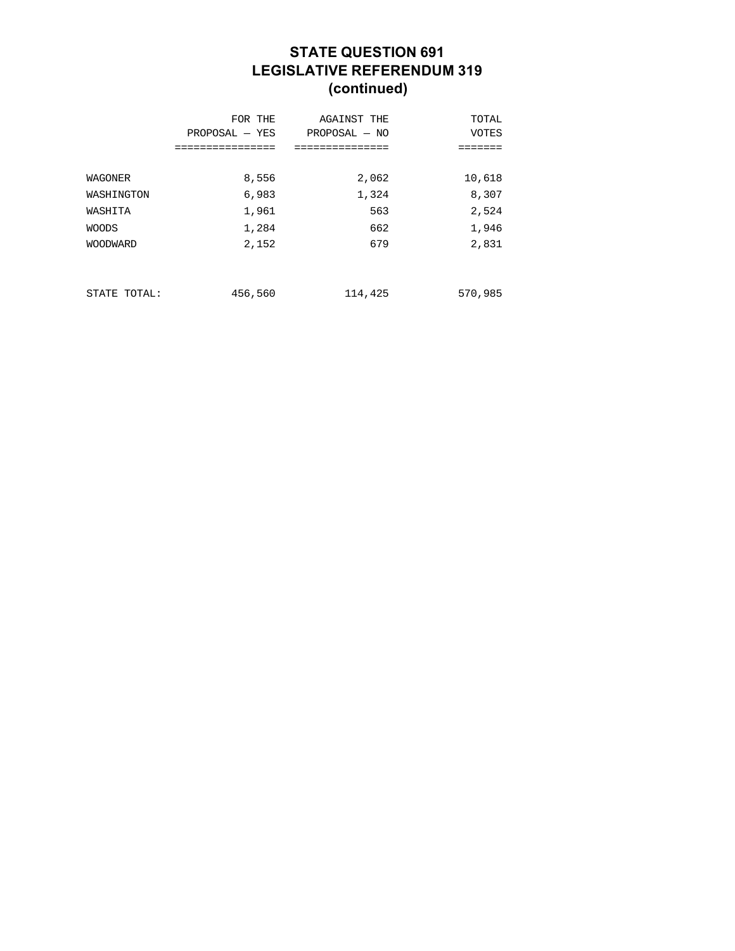## **STATE QUESTION 691 LEGISLATIVE REFERENDUM 319 (continued)**

|                 | FOR THE<br>$PROPOSAL - YES$ | <b>AGAINST THE</b><br>$PROPOSAL - NO$ | TOTAL<br><b>VOTES</b> |
|-----------------|-----------------------------|---------------------------------------|-----------------------|
|                 | ============                | ============                          |                       |
| WAGONER         | 8,556                       | 2,062                                 | 10,618                |
| WASHINGTON      | 6,983                       | 1,324                                 | 8,307                 |
| WASHITA         | 1,961                       | 563                                   | 2,524                 |
| <b>WOODS</b>    | 1,284                       | 662                                   | 1,946                 |
| <b>WOODWARD</b> | 2,152                       | 679                                   | 2,831                 |
|                 |                             |                                       |                       |
| STATE TOTAL:    | 456,560                     | 114,425                               | 570,985               |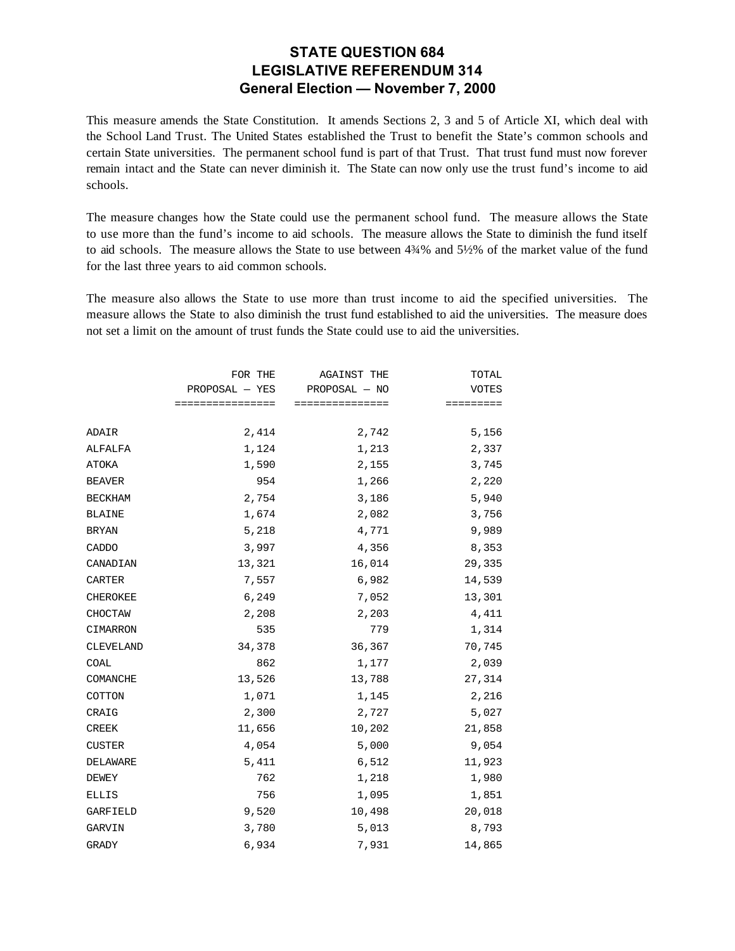#### **STATE QUESTION 684 LEGISLATIVE REFERENDUM 314 General Election — November 7, 2000**

This measure amends the State Constitution. It amends Sections 2, 3 and 5 of Article XI, which deal with the School Land Trust. The United States established the Trust to benefit the State's common schools and certain State universities. The permanent school fund is part of that Trust. That trust fund must now forever remain intact and the State can never diminish it. The State can now only use the trust fund's income to aid schools.

The measure changes how the State could use the permanent school fund. The measure allows the State to use more than the fund's income to aid schools. The measure allows the State to diminish the fund itself to aid schools. The measure allows the State to use between 4¾% and 5½% of the market value of the fund for the last three years to aid common schools.

The measure also allows the State to use more than trust income to aid the specified universities. The measure allows the State to also diminish the trust fund established to aid the universities. The measure does not set a limit on the amount of trust funds the State could use to aid the universities.

|                 | FOR THE          | <b>AGAINST THE</b> | TOTAL        |
|-----------------|------------------|--------------------|--------------|
|                 | PROPOSAL - YES   | PROPOSAL - NO      | <b>VOTES</b> |
|                 | ================ | ===============    | =========    |
| ADAIR           | 2,414            | 2,742              | 5,156        |
|                 |                  |                    |              |
| ALFALFA         | 1,124            | 1,213              | 2,337        |
| ATOKA           | 1,590            | 2,155              | 3,745        |
| <b>BEAVER</b>   | 954              | 1,266              | 2,220        |
| <b>BECKHAM</b>  | 2,754            | 3,186              | 5,940        |
| <b>BLAINE</b>   | 1,674            | 2,082              | 3,756        |
| BRYAN           | 5,218            | 4,771              | 9,989        |
| CADDO           | 3,997            | 4,356              | 8,353        |
| CANADIAN        | 13,321           | 16,014             | 29,335       |
| CARTER          | 7,557            | 6,982              | 14,539       |
| <b>CHEROKEE</b> | 6,249            | 7,052              | 13,301       |
| CHOCTAW         | 2,208            | 2,203              | 4,411        |
| CIMARRON        | 535              | 779                | 1,314        |
| CLEVELAND       | 34,378           | 36,367             | 70,745       |
| COAL            | 862              | 1,177              | 2,039        |
| COMANCHE        | 13,526           | 13,788             | 27,314       |
| COTTON          | 1,071            | 1,145              | 2,216        |
| CRAIG           | 2,300            | 2,727              | 5,027        |
| <b>CREEK</b>    | 11,656           | 10,202             | 21,858       |
| <b>CUSTER</b>   | 4,054            | 5,000              | 9,054        |
| DELAWARE        | 5,411            | 6,512              | 11,923       |
| DEWEY           | 762              | 1,218              | 1,980        |
| <b>ELLIS</b>    | 756              | 1,095              | 1,851        |
| <b>GARFIELD</b> | 9,520            | 10,498             | 20,018       |
| GARVIN          | 3,780            | 5,013              | 8,793        |
| <b>GRADY</b>    | 6,934            | 7,931              | 14,865       |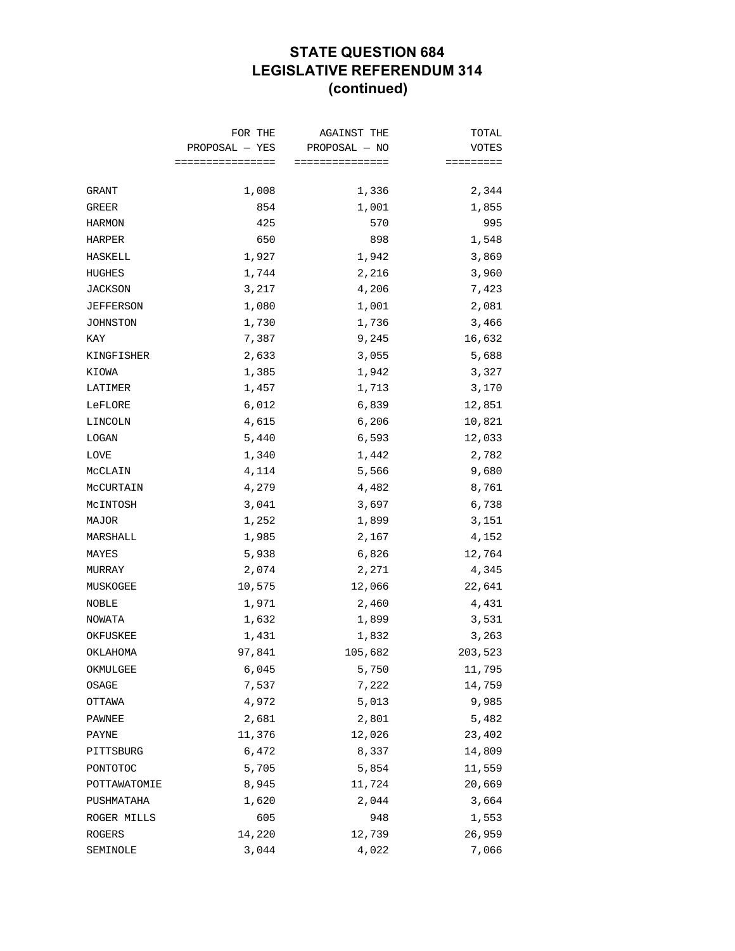## **STATE QUESTION 684 LEGISLATIVE REFERENDUM 314 (continued)**

|              | FOR THE          | <b>AGAINST THE</b> | TOTAL        |
|--------------|------------------|--------------------|--------------|
|              | PROPOSAL — YES   | PROPOSAL - NO      | <b>VOTES</b> |
|              | ================ | ===============    | =========    |
| GRANT        | 1,008            | 1,336              | 2,344        |
| GREER        | 854              | 1,001              | 1,855        |
| HARMON       | 425              | 570                | 995          |
| HARPER       | 650              | 898                | 1,548        |
| HASKELL      | 1,927            | 1,942              | 3,869        |
| HUGHES       | 1,744            | 2,216              | 3,960        |
| JACKSON      | 3,217            | 4,206              | 7,423        |
| JEFFERSON    | 1,080            | 1,001              | 2,081        |
| JOHNSTON     | 1,730            | 1,736              | 3,466        |
| KAY          | 7,387            | 9,245              | 16,632       |
| KINGFISHER   | 2,633            | 3,055              | 5,688        |
| KIOWA        | 1,385            | 1,942              | 3,327        |
| LATIMER      | 1,457            | 1,713              | 3,170        |
| LeFLORE      | 6,012            | 6,839              | 12,851       |
| LINCOLN      | 4,615            | 6,206              | 10,821       |
| LOGAN        | 5,440            | 6,593              | 12,033       |
| LOVE         | 1,340            | 1,442              | 2,782        |
| MCCLAIN      | 4,114            | 5,566              | 9,680        |
| MCCURTAIN    | 4,279            | 4,482              | 8,761        |
| McINTOSH     | 3,041            | 3,697              | 6,738        |
| MAJOR        | 1,252            | 1,899              | 3,151        |
| MARSHALL     | 1,985            | 2,167              | 4,152        |
| MAYES        | 5,938            | 6,826              | 12,764       |
| MURRAY       | 2,074            | 2,271              | 4,345        |
| MUSKOGEE     | 10,575           | 12,066             | 22,641       |
| NOBLE        | 1,971            | 2,460              | 4,431        |
| NOWATA       | 1,632            | 1,899              | 3,531        |
| OKFUSKEE     | 1,431            | 1,832              | 3,263        |
| OKLAHOMA     | 97,841           | 105,682            | 203,523      |
| OKMULGEE     | 6,045            | 5,750              | 11,795       |
| OSAGE        | 7,537            | 7,222              | 14,759       |
| OTTAWA       | 4,972            | 5,013              | 9,985        |
| PAWNEE       | 2,681            | 2,801              | 5,482        |
| PAYNE        | 11,376           | 12,026             | 23,402       |
| PITTSBURG    | 6,472            | 8,337              | 14,809       |
| PONTOTOC     | 5,705            | 5,854              | 11,559       |
| POTTAWATOMIE | 8,945            | 11,724             | 20,669       |
| PUSHMATAHA   | 1,620            | 2,044              | 3,664        |
| ROGER MILLS  | 605              | 948                | 1,553        |
| ROGERS       | 14,220           | 12,739             | 26,959       |
| SEMINOLE     | 3,044            | 4,022              | 7,066        |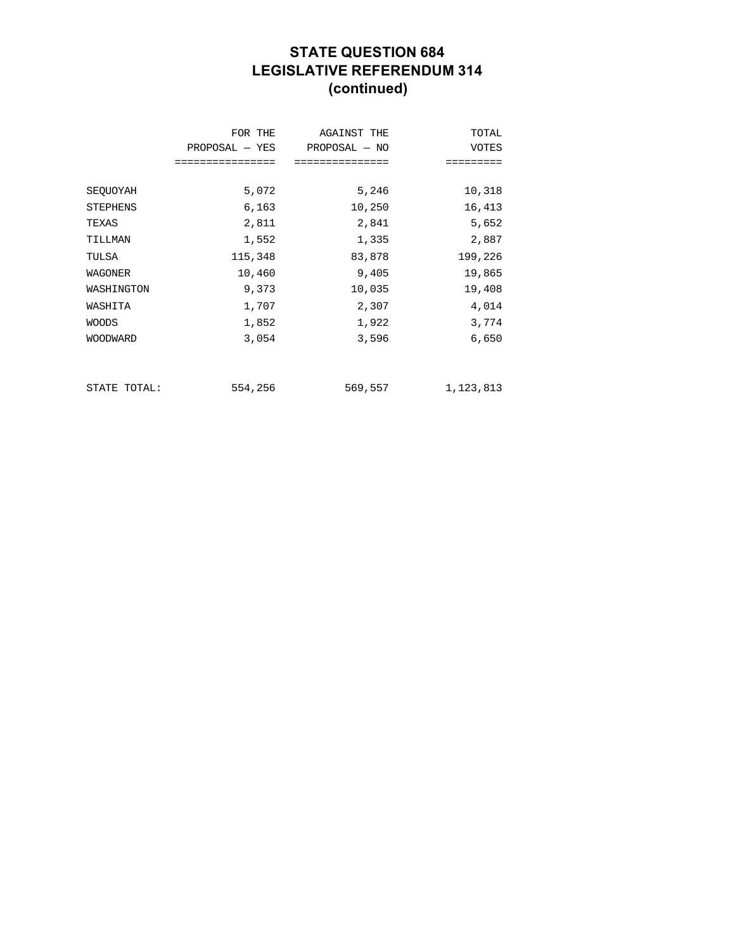## **STATE QUESTION 684 LEGISLATIVE REFERENDUM 314 (continued)**

|                 | FOR THE<br>$PROPOSAL - YES$ | AGAINST THE<br>PROPOSAL - NO | TOTAL<br>VOTES |
|-----------------|-----------------------------|------------------------------|----------------|
|                 | ================            | ===============              | =========      |
| SEQUOYAH        | 5,072                       | 5,246                        | 10,318         |
| <b>STEPHENS</b> | 6,163                       | 10,250                       | 16,413         |
| TEXAS           | 2,811                       | 2,841                        | 5,652          |
| TILLMAN         | 1,552                       | 1,335                        | 2,887          |
| TULSA           | 115,348                     | 83,878                       | 199,226        |
| WAGONER         | 10,460                      | 9,405                        | 19,865         |
| WASHINGTON      | 9,373                       | 10,035                       | 19,408         |
| WASHITA         | 1,707                       | 2,307                        | 4,014          |
| <b>WOODS</b>    | 1,852                       | 1,922                        | 3,774          |
| <b>WOODWARD</b> | 3,054                       | 3,596                        | 6,650          |
|                 |                             |                              |                |
|                 |                             |                              |                |
| STATE TOTAL:    | 554,256                     | 569,557                      | 1,123,813      |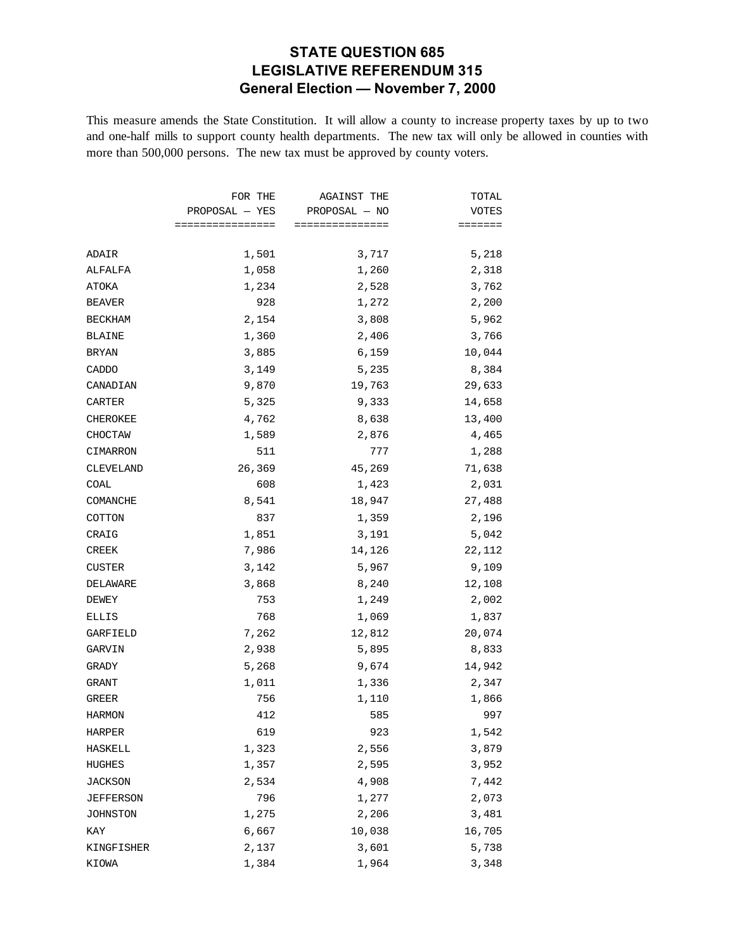### **STATE QUESTION 685 LEGISLATIVE REFERENDUM 315 General Election — November 7, 2000**

This measure amends the State Constitution. It will allow a county to increase property taxes by up to two and one-half mills to support county health departments. The new tax will only be allowed in counties with more than 500,000 persons. The new tax must be approved by county voters.

|                | FOR THE<br>PROPOSAL - YES | <b>AGAINST THE</b><br>PROPOSAL - NO | TOTAL<br>VOTES  |
|----------------|---------------------------|-------------------------------------|-----------------|
|                |                           |                                     |                 |
|                | ================          | ===============                     | $=$ = = = = = = |
| ADAIR          | 1,501                     | 3,717                               | 5,218           |
| ALFALFA        | 1,058                     | 1,260                               | 2,318           |
| ATOKA          | 1,234                     | 2,528                               | 3,762           |
| <b>BEAVER</b>  | 928                       | 1,272                               | 2,200           |
| <b>BECKHAM</b> | 2,154                     | 3,808                               | 5,962           |
| <b>BLAINE</b>  | 1,360                     | 2,406                               | 3,766           |
| BRYAN          | 3,885                     | 6,159                               | 10,044          |
| CADDO          | 3,149                     | 5,235                               | 8,384           |
| CANADIAN       | 9,870                     | 19,763                              | 29,633          |
| CARTER         | 5,325                     | 9,333                               | 14,658          |
| CHEROKEE       | 4,762                     | 8,638                               | 13,400          |
| CHOCTAW        | 1,589                     | 2,876                               | 4,465           |
| CIMARRON       | 511                       | 777                                 | 1,288           |
| CLEVELAND      | 26,369                    | 45,269                              | 71,638          |
| COAL           | 608                       | 1,423                               | 2,031           |
| COMANCHE       | 8,541                     | 18,947                              | 27,488          |
| COTTON         | 837                       | 1,359                               | 2,196           |
| CRAIG          | 1,851                     | 3,191                               | 5,042           |
| CREEK          | 7,986                     | 14,126                              | 22,112          |
| <b>CUSTER</b>  | 3,142                     | 5,967                               | 9,109           |
| DELAWARE       | 3,868                     | 8,240                               | 12,108          |
| DEWEY          | 753                       | 1,249                               | 2,002           |
| ELLIS          | 768                       | 1,069                               | 1,837           |
| GARFIELD       | 7,262                     | 12,812                              | 20,074          |
| GARVIN         | 2,938                     | 5,895                               | 8,833           |
| GRADY          | 5,268                     | 9,674                               | 14,942          |
| GRANT          | 1,011                     | 1,336                               | 2,347           |
| GREER          | 756                       | 1,110                               | 1,866           |
| <b>HARMON</b>  | 412                       | 585                                 | 997             |
| HARPER         | 619                       | 923                                 | 1,542           |
| HASKELL        | 1,323                     | 2,556                               | 3,879           |
| HUGHES         | 1,357                     | 2,595                               | 3,952           |
| JACKSON        | 2,534                     | 4,908                               | 7,442           |
| JEFFERSON      | 796                       | 1,277                               | 2,073           |
| JOHNSTON       | 1,275                     | 2,206                               | 3,481           |
| KAY            | 6,667                     | 10,038                              | 16,705          |
| KINGFISHER     | 2,137                     | 3,601                               | 5,738           |
| KIOWA          | 1,384                     | 1,964                               | 3,348           |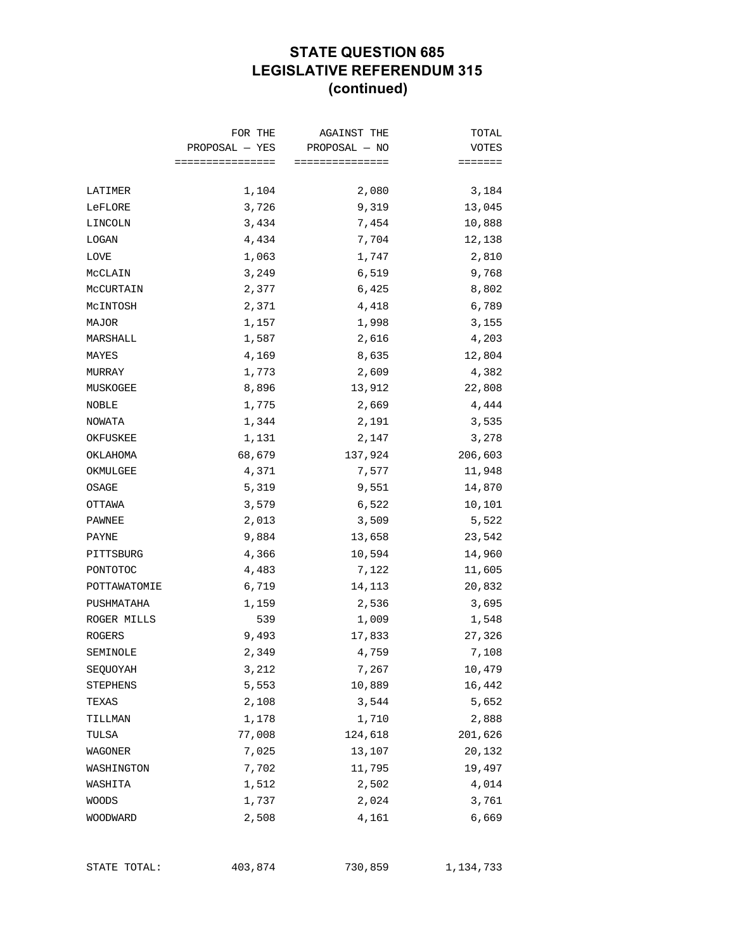### **STATE QUESTION 685 LEGISLATIVE REFERENDUM 315 (continued)**

|              | FOR THE<br>PROPOSAL — YES | <b>AGAINST THE</b><br>PROPOSAL - NO | TOTAL           |
|--------------|---------------------------|-------------------------------------|-----------------|
|              |                           |                                     | VOTES           |
|              | ================          | ===============                     | $=$ = = = = = = |
| LATIMER      | 1,104                     | 2,080                               | 3,184           |
| LeFLORE      | 3,726                     | 9,319                               | 13,045          |
| LINCOLN      | 3,434                     | 7,454                               | 10,888          |
| LOGAN        | 4,434                     | 7,704                               | 12,138          |
| LOVE         | 1,063                     | 1,747                               | 2,810           |
| MCCLAIN      | 3,249                     | 6,519                               | 9,768           |
| MCCURTAIN    | 2,377                     | 6,425                               | 8,802           |
| McINTOSH     | 2,371                     | 4,418                               | 6,789           |
| MAJOR        | 1,157                     | 1,998                               | 3,155           |
| MARSHALL     | 1,587                     | 2,616                               | 4,203           |
| MAYES        | 4,169                     | 8,635                               | 12,804          |
| MURRAY       | 1,773                     | 2,609                               | 4,382           |
| MUSKOGEE     | 8,896                     | 13,912                              | 22,808          |
| NOBLE        | 1,775                     | 2,669                               | 4,444           |
| NOWATA       | 1,344                     | 2,191                               | 3,535           |
| OKFUSKEE     | 1,131                     | 2,147                               | 3,278           |
| OKLAHOMA     | 68,679                    | 137,924                             | 206,603         |
| OKMULGEE     | 4,371                     | 7,577                               | 11,948          |
| OSAGE        | 5,319                     | 9,551                               | 14,870          |
| OTTAWA       | 3,579                     | 6,522                               | 10,101          |
| PAWNEE       | 2,013                     | 3,509                               | 5,522           |
| PAYNE        | 9,884                     | 13,658                              | 23,542          |
| PITTSBURG    | 4,366                     | 10,594                              | 14,960          |
| PONTOTOC     | 4,483                     | 7,122                               | 11,605          |
| POTTAWATOMIE | 6,719                     | 14,113                              | 20,832          |
| PUSHMATAHA   | 1,159                     | 2,536                               | 3,695           |
| ROGER MILLS  | 539                       | 1,009                               | 1,548           |
| ROGERS       | 9,493                     | 17,833                              | 27,326          |
| SEMINOLE     | 2,349                     | 4,759                               | 7,108           |
| SEQUOYAH     | 3,212                     | 7,267                               | 10,479          |
| STEPHENS     | 5,553                     | 10,889                              | 16,442          |
| TEXAS        | 2,108                     | 3,544                               | 5,652           |
| TILLMAN      | 1,178                     | 1,710                               | 2,888           |
| TULSA        | 77,008                    | 124,618                             | 201,626         |
| WAGONER      | 7,025                     | 13,107                              | 20,132          |
| WASHINGTON   | 7,702                     | 11,795                              | 19,497          |
| WASHITA      | 1,512                     | 2,502                               | 4,014           |
| WOODS        | 1,737                     | 2,024                               | 3,761           |
| WOODWARD     | 2,508                     | 4,161                               | 6,669           |

STATE TOTAL:  $403,874$  730,859 1,134,733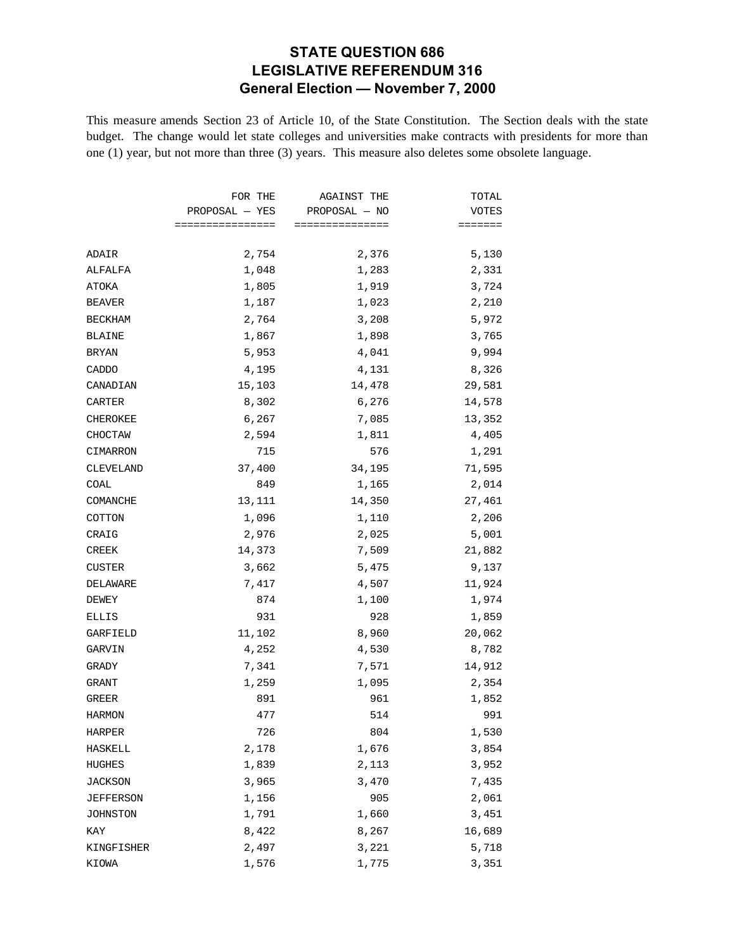### **STATE QUESTION 686 LEGISLATIVE REFERENDUM 316 General Election — November 7, 2000**

This measure amends Section 23 of Article 10, of the State Constitution. The Section deals with the state budget. The change would let state colleges and universities make contracts with presidents for more than one (1) year, but not more than three (3) years. This measure also deletes some obsolete language.

|                | FOR THE<br>$PROPOSAL - YES$<br>================ | AGAINST THE<br>PROPOSAL - NO<br>=============== | TOTAL  |
|----------------|-------------------------------------------------|-------------------------------------------------|--------|
|                |                                                 |                                                 | VOTES  |
|                |                                                 |                                                 | $=$    |
| ADAIR          | 2,754                                           | 2,376                                           | 5,130  |
| ALFALFA        | 1,048                                           | 1,283                                           | 2,331  |
| ATOKA          | 1,805                                           | 1,919                                           | 3,724  |
| <b>BEAVER</b>  | 1,187                                           | 1,023                                           | 2,210  |
| <b>BECKHAM</b> | 2,764                                           | 3,208                                           | 5,972  |
| <b>BLAINE</b>  | 1,867                                           | 1,898                                           | 3,765  |
| <b>BRYAN</b>   | 5,953                                           | 4,041                                           | 9,994  |
| CADDO          | 4,195                                           | 4,131                                           | 8,326  |
| CANADIAN       | 15,103                                          | 14,478                                          | 29,581 |
| CARTER         | 8,302                                           | 6,276                                           | 14,578 |
| CHEROKEE       | 6,267                                           | 7,085                                           | 13,352 |
| CHOCTAW        | 2,594                                           | 1,811                                           | 4,405  |
| CIMARRON       | 715                                             | 576                                             | 1,291  |
| CLEVELAND      | 37,400                                          | 34,195                                          | 71,595 |
| COAL           | 849                                             | 1,165                                           | 2,014  |
| COMANCHE       | 13,111                                          | 14,350                                          | 27,461 |
| COTTON         | 1,096                                           | 1,110                                           | 2,206  |
| CRAIG          | 2,976                                           | 2,025                                           | 5,001  |
| CREEK          | 14,373                                          | 7,509                                           | 21,882 |
| <b>CUSTER</b>  | 3,662                                           | 5,475                                           | 9,137  |
| DELAWARE       | 7,417                                           | 4,507                                           | 11,924 |
| DEWEY          | 874                                             | 1,100                                           | 1,974  |
| ELLIS          | 931                                             | 928                                             | 1,859  |
| GARFIELD       | 11,102                                          | 8,960                                           | 20,062 |
| GARVIN         | 4,252                                           | 4,530                                           | 8,782  |
| GRADY          | 7,341                                           | 7,571                                           | 14,912 |
| GRANT          | 1,259                                           | 1,095                                           | 2,354  |
| GREER          | 891                                             | 961                                             | 1,852  |
| <b>HARMON</b>  | 477                                             | 514                                             | 991    |
| HARPER         | 726                                             | 804                                             | 1,530  |
| <b>HASKELL</b> | 2,178                                           | 1,676                                           | 3,854  |
| HUGHES         | 1,839                                           | 2,113                                           | 3,952  |
| JACKSON        | 3,965                                           | 3,470                                           | 7,435  |
| JEFFERSON      | 1,156                                           | 905                                             | 2,061  |
| JOHNSTON       | 1,791                                           | 1,660                                           | 3,451  |
| KAY            | 8,422                                           | 8,267                                           | 16,689 |
| KINGFISHER     | 2,497                                           | 3,221                                           | 5,718  |
| KIOWA          | 1,576                                           | 1,775                                           | 3,351  |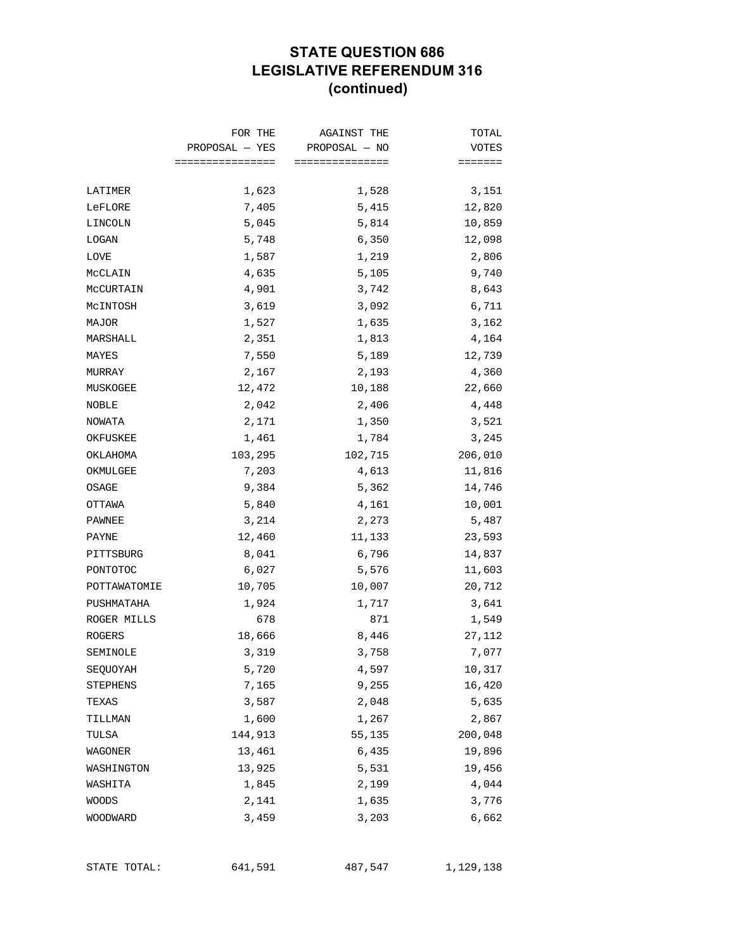### **STATE QUESTION 686 LEGISLATIVE REFERENDUM 316 (continued)**

|              | FOR THE         | AGAINST THE     | TOTAL   |
|--------------|-----------------|-----------------|---------|
|              | PROPOSAL — YES  | PROPOSAL - NO   | VOTES   |
|              | =============== | =============== | ======= |
| LATIMER      | 1,623           | 1,528           | 3,151   |
| LeFLORE      | 7,405           | 5,415           | 12,820  |
| LINCOLN      | 5,045           | 5,814           | 10,859  |
| LOGAN        | 5,748           | 6,350           | 12,098  |
| LOVE         | 1,587           | 1,219           | 2,806   |
| MCCLAIN      | 4,635           | 5,105           | 9,740   |
| MCCURTAIN    | 4,901           | 3,742           | 8,643   |
| MCINTOSH     | 3,619           | 3,092           | 6,711   |
| MAJOR        | 1,527           | 1,635           | 3,162   |
| MARSHALL     | 2,351           | 1,813           | 4,164   |
| MAYES        | 7,550           | 5,189           | 12,739  |
| MURRAY       | 2,167           | 2,193           | 4,360   |
| MUSKOGEE     | 12,472          | 10,188          | 22,660  |
| NOBLE        | 2,042           | 2,406           | 4,448   |
| NOWATA       | 2,171           | 1,350           | 3,521   |
| OKFUSKEE     | 1,461           | 1,784           | 3,245   |
| OKLAHOMA     | 103,295         | 102,715         | 206,010 |
| OKMULGEE     | 7,203           | 4,613           | 11,816  |
| OSAGE        | 9,384           | 5,362           | 14,746  |
| OTTAWA       | 5,840           | 4,161           | 10,001  |
| PAWNEE       | 3,214           | 2,273           | 5,487   |
| PAYNE        | 12,460          | 11,133          | 23,593  |
| PITTSBURG    | 8,041           | 6,796           | 14,837  |
| PONTOTOC     | 6,027           | 5,576           | 11,603  |
| POTTAWATOMIE | 10,705          | 10,007          | 20,712  |
| PUSHMATAHA   | 1,924           | 1,717           | 3,641   |
| ROGER MILLS  | 678             | 871             | 1,549   |
| ROGERS       | 18,666          | 8,446           | 27,112  |
| SEMINOLE     | 3,319           | 3,758           | 7,077   |
| SEQUOYAH     | 5,720           | 4,597           | 10,317  |
| STEPHENS     | 7,165           | 9,255           | 16,420  |
| TEXAS        | 3,587           | 2,048           | 5,635   |
| TILLMAN      | 1,600           | 1,267           | 2,867   |
| TULSA        | 144,913         | 55,135          | 200,048 |
| WAGONER      | 13,461          | 6,435           | 19,896  |
| WASHINGTON   | 13,925          | 5,531           | 19,456  |
| WASHITA      | 1,845           | 2,199           | 4,044   |
| WOODS        | 2,141           | 1,635           | 3,776   |
| WOODWARD     | 3,459           | 3,203           | 6,662   |
|              |                 |                 |         |

STATE TOTAL: 641,591 487,547 1,129,138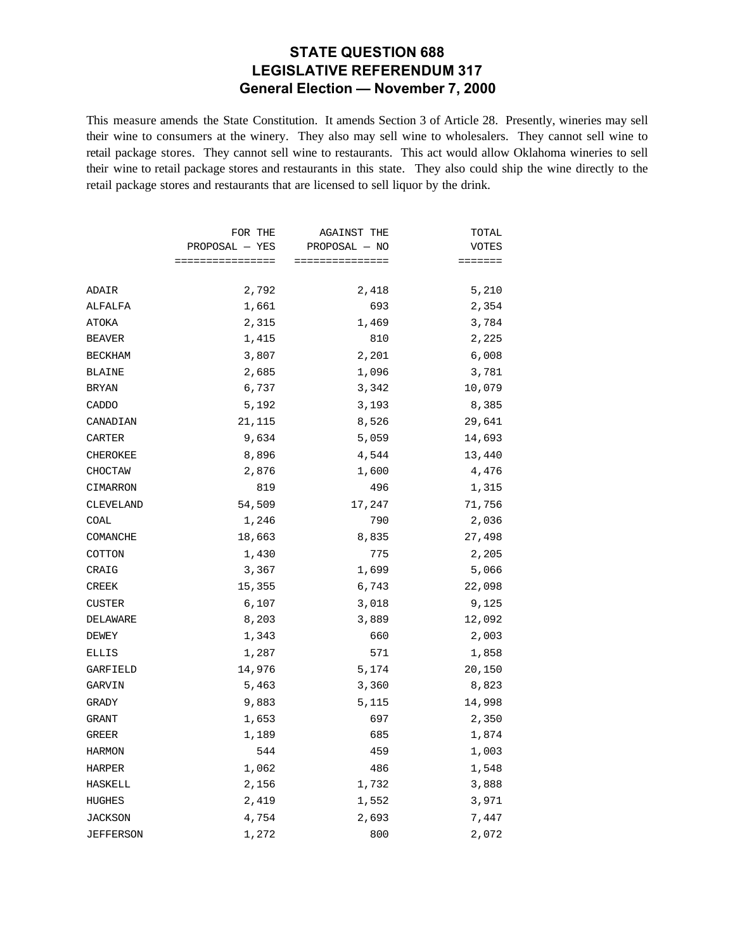#### **STATE QUESTION 688 LEGISLATIVE REFERENDUM 317 General Election — November 7, 2000**

This measure amends the State Constitution. It amends Section 3 of Article 28. Presently, wineries may sell their wine to consumers at the winery. They also may sell wine to wholesalers. They cannot sell wine to retail package stores. They cannot sell wine to restaurants. This act would allow Oklahoma wineries to sell their wine to retail package stores and restaurants in this state. They also could ship the wine directly to the retail package stores and restaurants that are licensed to sell liquor by the drink.

|                | FOR THE          | <b>AGAINST THE</b> | TOTAL   |
|----------------|------------------|--------------------|---------|
|                | $PROPOSAL - YES$ | PROPOSAL - NO      | VOTES   |
|                | ================ | ===============    | ======= |
| ADAIR          | 2,792            | 2,418              | 5,210   |
| ALFALFA        | 1,661            | 693                | 2,354   |
| ATOKA          | 2,315            | 1,469              | 3,784   |
| BEAVER         | 1,415            | 810                | 2,225   |
| <b>BECKHAM</b> | 3,807            | 2,201              | 6,008   |
| BLAINE         | 2,685            | 1,096              | 3,781   |
| BRYAN          | 6,737            | 3,342              | 10,079  |
| CADDO          | 5,192            | 3,193              | 8,385   |
| CANADIAN       | 21,115           | 8,526              | 29,641  |
| CARTER         | 9,634            | 5,059              | 14,693  |
| CHEROKEE       | 8,896            | 4,544              | 13,440  |
| CHOCTAW        | 2,876            | 1,600              | 4,476   |
| CIMARRON       | 819              | 496                | 1,315   |
| CLEVELAND      | 54,509           | 17,247             | 71,756  |
| COAL           | 1,246            | 790                | 2,036   |
| COMANCHE       | 18,663           | 8,835              | 27,498  |
| COTTON         | 1,430            | 775                | 2,205   |
| CRAIG          | 3,367            | 1,699              | 5,066   |
| CREEK          | 15,355           | 6,743              | 22,098  |
| CUSTER         | 6,107            | 3,018              | 9,125   |
| DELAWARE       | 8,203            | 3,889              | 12,092  |
| DEWEY          | 1,343            | 660                | 2,003   |
| ELLIS          | 1,287            | 571                | 1,858   |
| GARFIELD       | 14,976           | 5,174              | 20,150  |
| GARVIN         | 5,463            | 3,360              | 8,823   |
| GRADY          | 9,883            | 5,115              | 14,998  |
| GRANT          | 1,653            | 697                | 2,350   |
| GREER          | 1,189            | 685                | 1,874   |
| <b>HARMON</b>  | 544              | 459                | 1,003   |
| HARPER         | 1,062            | 486                | 1,548   |
| HASKELL        | 2,156            | 1,732              | 3,888   |
| HUGHES         | 2,419            | 1,552              | 3,971   |
| <b>JACKSON</b> | 4,754            | 2,693              | 7,447   |
| JEFFERSON      | 1,272            | 800                | 2,072   |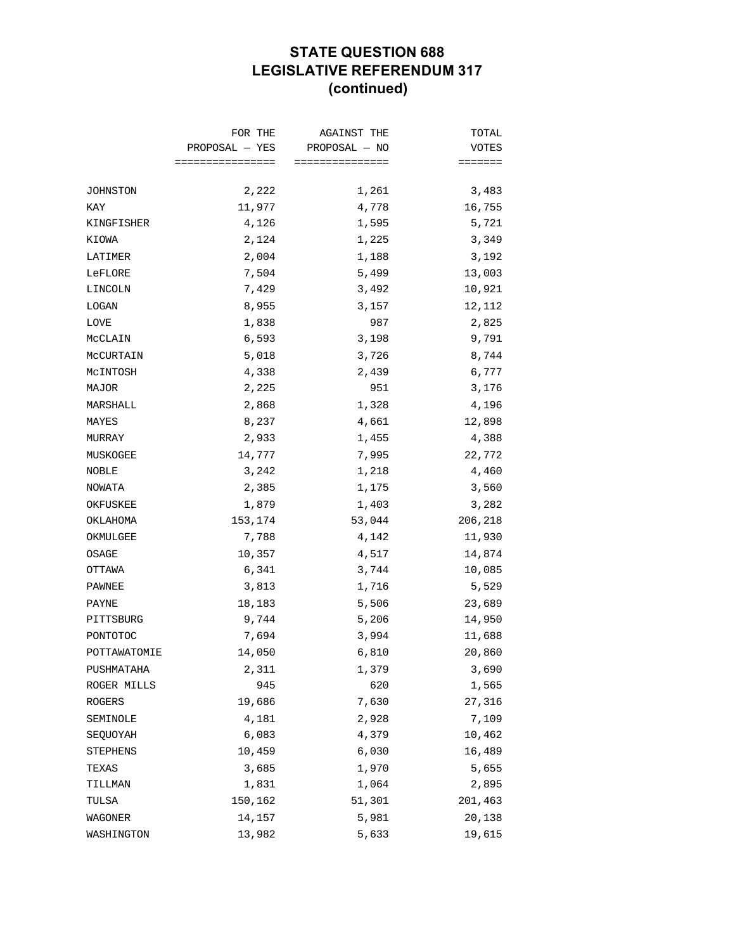## **STATE QUESTION 688 LEGISLATIVE REFERENDUM 317 (continued)**

|              | FOR THE<br>PROPOSAL — YES<br>================ | <b>AGAINST THE</b><br>PROPOSAL - NO | TOTAL<br><b>VOTES</b> |
|--------------|-----------------------------------------------|-------------------------------------|-----------------------|
|              |                                               | ===============                     | =======               |
|              |                                               |                                     |                       |
| JOHNSTON     | 2,222                                         | 1,261                               | 3,483                 |
| KAY          | 11,977                                        | 4,778                               | 16,755                |
| KINGFISHER   | 4,126                                         | 1,595                               | 5,721                 |
| KIOWA        | 2,124                                         | 1,225                               | 3,349                 |
| LATIMER      | 2,004                                         | 1,188                               | 3,192                 |
| LeFLORE      | 7,504                                         | 5,499                               | 13,003                |
| LINCOLN      | 7,429                                         | 3,492                               | 10,921                |
| LOGAN        | 8,955                                         | 3,157                               | 12,112                |
| LOVE         | 1,838                                         | 987                                 | 2,825                 |
| MCCLAIN      | 6,593                                         | 3,198                               | 9,791                 |
| MCCURTAIN    | 5,018                                         | 3,726                               | 8,744                 |
| MCINTOSH     | 4,338                                         | 2,439                               | 6,777                 |
| MAJOR        | 2,225                                         | 951                                 | 3,176                 |
| MARSHALL     | 2,868                                         | 1,328                               | 4,196                 |
| MAYES        | 8,237                                         | 4,661                               | 12,898                |
| MURRAY       | 2,933                                         | 1,455                               | 4,388                 |
| MUSKOGEE     | 14,777                                        | 7,995                               | 22,772                |
| NOBLE        | 3,242                                         | 1,218                               | 4,460                 |
| NOWATA       | 2,385                                         | 1,175                               | 3,560                 |
| OKFUSKEE     | 1,879                                         | 1,403                               | 3,282                 |
| OKLAHOMA     | 153,174                                       | 53,044                              | 206,218               |
| OKMULGEE     | 7,788                                         | 4,142                               | 11,930                |
| OSAGE        | 10,357                                        | 4,517                               | 14,874                |
| OTTAWA       | 6,341                                         | 3,744                               | 10,085                |
| PAWNEE       | 3,813                                         | 1,716                               | 5,529                 |
| PAYNE        | 18,183                                        | 5,506                               | 23,689                |
| PITTSBURG    | 9,744                                         | 5,206                               | 14,950                |
| PONTOTOC     | 7,694                                         | 3,994                               | 11,688                |
| POTTAWATOMIE | 14,050                                        | 6,810                               | 20,860                |
| PUSHMATAHA   | 2,311                                         | 1,379                               | 3,690                 |
| ROGER MILLS  | 945                                           | 620                                 | 1,565                 |
| ROGERS       | 19,686                                        | 7,630                               | 27,316                |
| SEMINOLE     | 4,181                                         | 2,928                               | 7,109                 |
| SEQUOYAH     | 6,083                                         | 4,379                               | 10,462                |
| STEPHENS     | 10,459                                        | 6,030                               | 16,489                |
| TEXAS        | 3,685                                         | 1,970                               | 5,655                 |
| TILLMAN      | 1,831                                         | 1,064                               | 2,895                 |
| TULSA        | 150,162                                       | 51,301                              | 201,463               |
| WAGONER      | 14,157                                        | 5,981                               | 20,138                |
| WASHINGTON   | 13,982                                        | 5,633                               | 19,615                |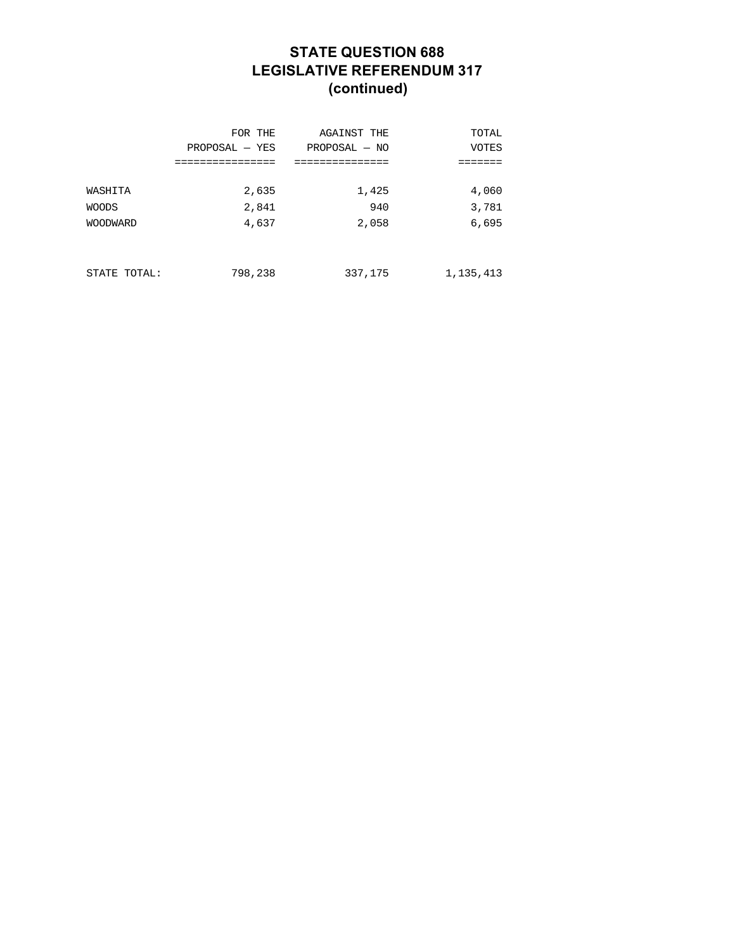## **STATE QUESTION 688 LEGISLATIVE REFERENDUM 317 (continued)**

|                 | FOR THE          | <b>AGAINST THE</b> | TOTAL        |
|-----------------|------------------|--------------------|--------------|
|                 | $PROPOSAL - YES$ | $PROPOSAL - NO$    | <b>VOTES</b> |
| WASHITA         | 2,635            | 1,425              | 4,060        |
| <b>WOODS</b>    | 2,841            | 940                | 3,781        |
| <b>WOODWARD</b> | 4,637            | 2,058              | 6,695        |
| STATE TOTAL:    | 798,238          | 337,175            | 1, 135, 413  |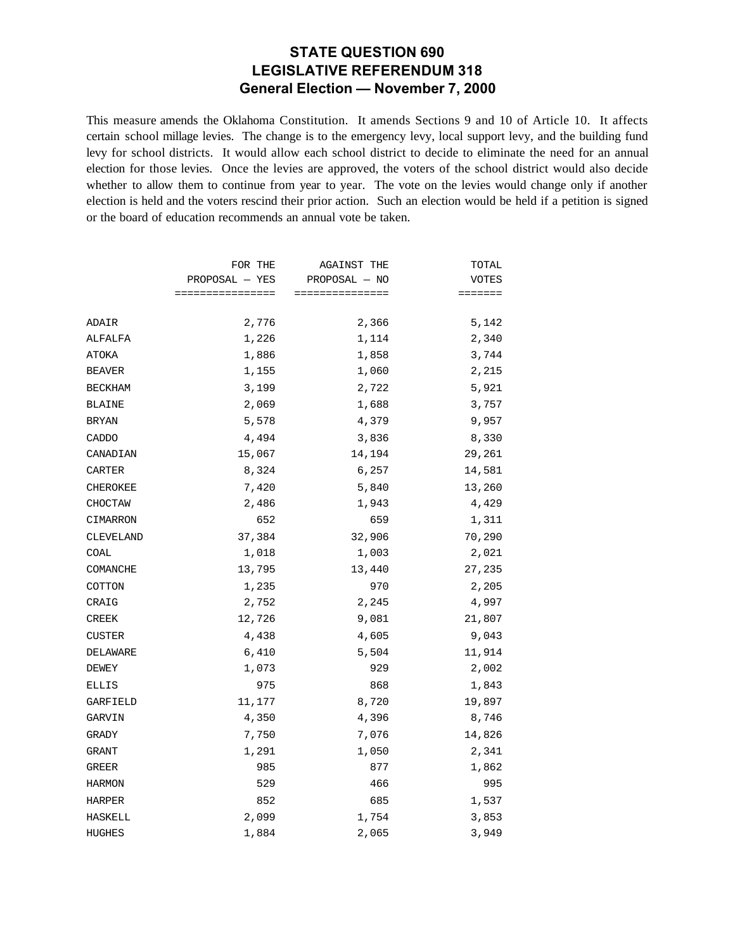#### **STATE QUESTION 690 LEGISLATIVE REFERENDUM 318 General Election — November 7, 2000**

This measure amends the Oklahoma Constitution. It amends Sections 9 and 10 of Article 10. It affects certain school millage levies. The change is to the emergency levy, local support levy, and the building fund levy for school districts. It would allow each school district to decide to eliminate the need for an annual election for those levies. Once the levies are approved, the voters of the school district would also decide whether to allow them to continue from year to year. The vote on the levies would change only if another election is held and the voters rescind their prior action. Such an election would be held if a petition is signed or the board of education recommends an annual vote be taken.

|                 | FOR THE          | <b>AGAINST THE</b> | TOTAL        |
|-----------------|------------------|--------------------|--------------|
|                 | PROPOSAL - YES   | PROPOSAL - NO      | <b>VOTES</b> |
|                 | ================ | ===============    | =======      |
| ADAIR           | 2,776            | 2,366              | 5,142        |
| ALFALFA         | 1,226            | 1,114              | 2,340        |
| ATOKA           | 1,886            | 1,858              | 3,744        |
| <b>BEAVER</b>   | 1,155            | 1,060              | 2,215        |
| <b>BECKHAM</b>  | 3,199            | 2,722              | 5,921        |
| <b>BLAINE</b>   | 2,069            | 1,688              | 3,757        |
| <b>BRYAN</b>    | 5,578            | 4,379              | 9,957        |
| CADDO           | 4,494            | 3,836              | 8,330        |
| CANADIAN        | 15,067           | 14,194             | 29,261       |
| CARTER          | 8,324            | 6,257              | 14,581       |
| <b>CHEROKEE</b> | 7,420            | 5,840              | 13,260       |
| CHOCTAW         | 2,486            | 1,943              | 4,429        |
| CIMARRON        | 652              | 659                | 1,311        |
| CLEVELAND       | 37,384           | 32,906             | 70,290       |
| COAL            | 1,018            | 1,003              | 2,021        |
| COMANCHE        | 13,795           | 13,440             | 27,235       |
| COTTON          | 1,235            | 970                | 2,205        |
| CRAIG           | 2,752            | 2,245              | 4,997        |
| CREEK           | 12,726           | 9,081              | 21,807       |
| <b>CUSTER</b>   | 4,438            | 4,605              | 9,043        |
| DELAWARE        | 6,410            | 5,504              | 11,914       |
| DEWEY           | 1,073            | 929                | 2,002        |
| <b>ELLIS</b>    | 975              | 868                | 1,843        |
| GARFIELD        | 11,177           | 8,720              | 19,897       |
| GARVIN          | 4,350            | 4,396              | 8,746        |
| GRADY           | 7,750            | 7,076              | 14,826       |
| GRANT           | 1,291            | 1,050              | 2,341        |
| GREER           | 985              | 877                | 1,862        |
| HARMON          | 529              | 466                | 995          |
| <b>HARPER</b>   | 852              | 685                | 1,537        |
| HASKELL         | 2,099            | 1,754              | 3,853        |
| <b>HUGHES</b>   | 1,884            | 2,065              | 3,949        |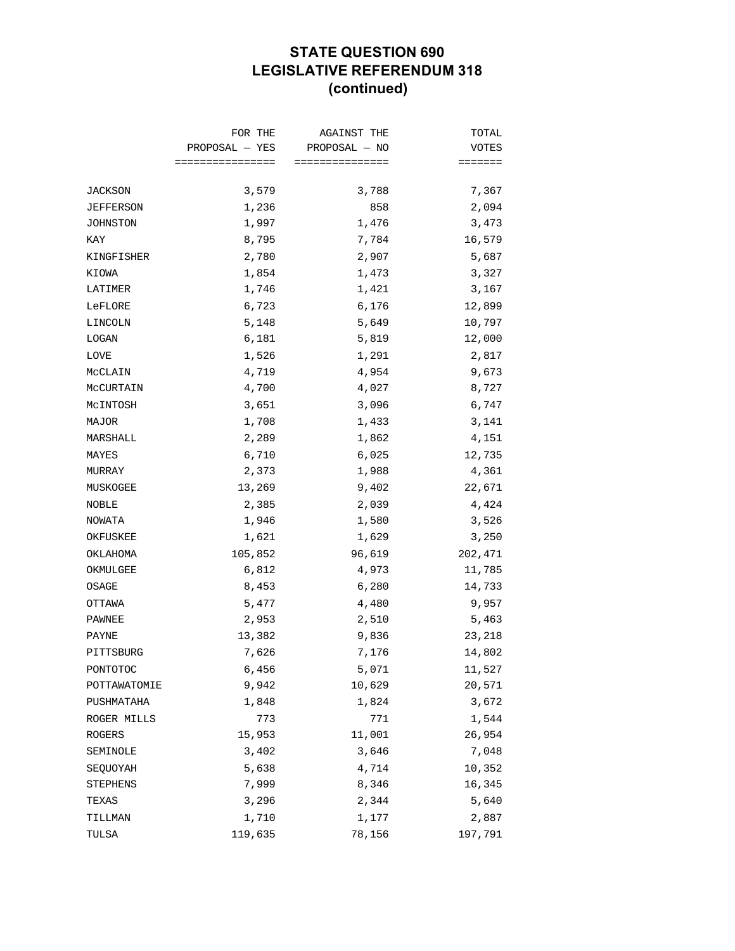# **STATE QUESTION 690 LEGISLATIVE REFERENDUM 318 (continued)**

|                 | FOR THE          | AGAINST THE     | TOTAL   |
|-----------------|------------------|-----------------|---------|
|                 | PROPOSAL — YES   | PROPOSAL - NO   | VOTES   |
|                 | ================ | =============== | ======= |
| <b>JACKSON</b>  | 3,579            | 3,788           | 7,367   |
| JEFFERSON       | 1,236            | 858             | 2,094   |
| JOHNSTON        | 1,997            | 1,476           | 3,473   |
| KAY             | 8,795            | 7,784           | 16,579  |
| KINGFISHER      | 2,780            | 2,907           | 5,687   |
| KIOWA           | 1,854            | 1,473           | 3,327   |
| LATIMER         | 1,746            | 1,421           | 3,167   |
| LeFLORE         | 6,723            | 6,176           | 12,899  |
| LINCOLN         | 5,148            | 5,649           | 10,797  |
| LOGAN           | 6,181            | 5,819           | 12,000  |
| LOVE            | 1,526            | 1,291           | 2,817   |
| MCCLAIN         | 4,719            | 4,954           | 9,673   |
| MCCURTAIN       | 4,700            | 4,027           | 8,727   |
| MCINTOSH        | 3,651            | 3,096           | 6,747   |
| MAJOR           | 1,708            | 1,433           | 3,141   |
| MARSHALL        | 2,289            | 1,862           | 4,151   |
| MAYES           | 6,710            | 6,025           | 12,735  |
| MURRAY          | 2,373            | 1,988           | 4,361   |
| MUSKOGEE        | 13,269           | 9,402           | 22,671  |
| NOBLE           | 2,385            | 2,039           | 4,424   |
| NOWATA          | 1,946            | 1,580           | 3,526   |
| OKFUSKEE        | 1,621            | 1,629           | 3,250   |
| OKLAHOMA        | 105,852          | 96,619          | 202,471 |
| OKMULGEE        | 6,812            | 4,973           | 11,785  |
| OSAGE           | 8,453            | 6,280           | 14,733  |
| OTTAWA          | 5,477            | 4,480           | 9,957   |
| PAWNEE          | 2,953            | 2,510           | 5,463   |
| PAYNE           | 13,382           | 9,836           | 23,218  |
| PITTSBURG       | 7,626            | 7,176           | 14,802  |
| PONTOTOC        | 6,456            | 5,071           | 11,527  |
| POTTAWATOMIE    | 9,942            | 10,629          | 20,571  |
| PUSHMATAHA      | 1,848            | 1,824           | 3,672   |
| ROGER MILLS     | 773              | 771             | 1,544   |
| ROGERS          | 15,953           | 11,001          | 26,954  |
| SEMINOLE        | 3,402            | 3,646           | 7,048   |
| SEQUOYAH        | 5,638            | 4,714           | 10,352  |
| <b>STEPHENS</b> | 7,999            | 8,346           | 16,345  |
| TEXAS           | 3,296            | 2,344           | 5,640   |
| TILLMAN         | 1,710            | 1,177           | 2,887   |
| TULSA           | 119,635          | 78,156          | 197,791 |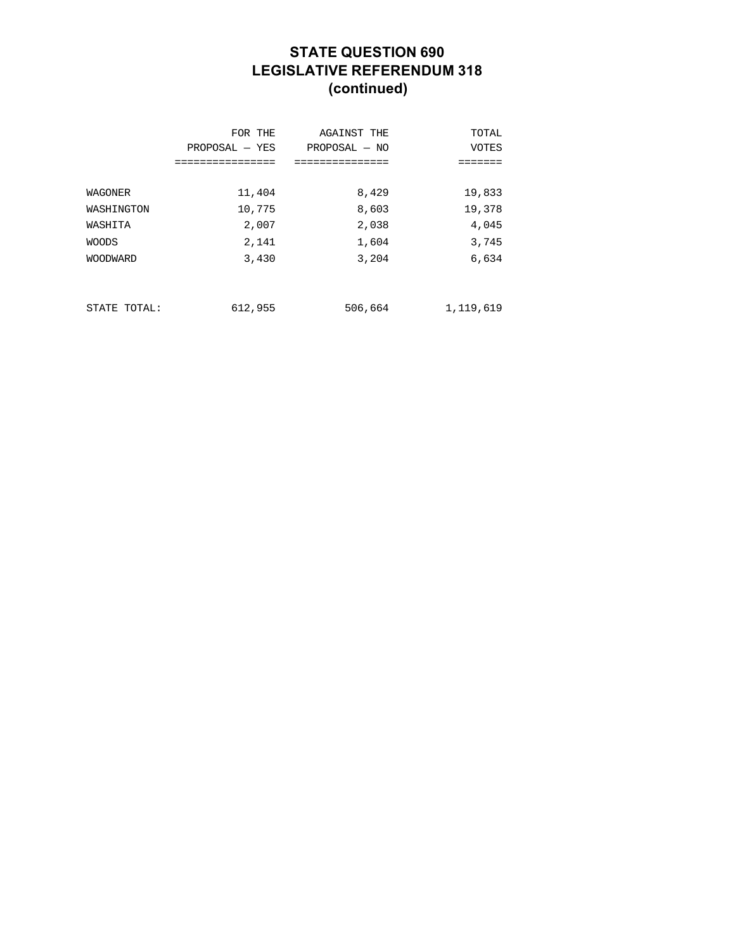# **STATE QUESTION 690 LEGISLATIVE REFERENDUM 318 (continued)**

|                 | FOR THE<br>$PROPOSAL - YES$<br>----------- | AGAINST THE<br>$PROPOSAL - NO$<br>=========== | TOTAL<br><b>VOTES</b><br>===== |
|-----------------|--------------------------------------------|-----------------------------------------------|--------------------------------|
| WAGONER         | 11,404                                     | 8,429                                         | 19,833                         |
| WASHINGTON      | 10,775                                     | 8,603                                         | 19,378                         |
| WASHITA         | 2,007                                      | 2,038                                         | 4,045                          |
| <b>WOODS</b>    | 2,141                                      | 1,604                                         | 3,745                          |
| <b>WOODWARD</b> | 3,430                                      | 3,204                                         | 6,634                          |
|                 |                                            |                                               |                                |
| STATE TOTAL:    | 612,955                                    | 506,664                                       | 1,119,619                      |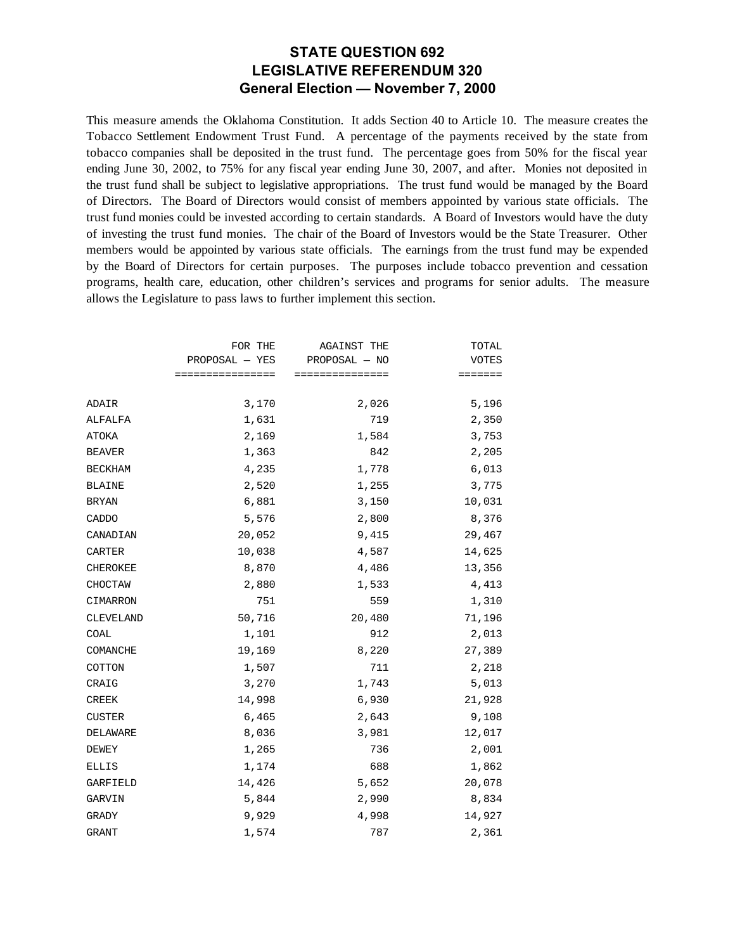#### **STATE QUESTION 692 LEGISLATIVE REFERENDUM 320 General Election — November 7, 2000**

This measure amends the Oklahoma Constitution. It adds Section 40 to Article 10. The measure creates the Tobacco Settlement Endowment Trust Fund. A percentage of the payments received by the state from tobacco companies shall be deposited in the trust fund. The percentage goes from 50% for the fiscal year ending June 30, 2002, to 75% for any fiscal year ending June 30, 2007, and after. Monies not deposited in the trust fund shall be subject to legislative appropriations. The trust fund would be managed by the Board of Directors. The Board of Directors would consist of members appointed by various state officials. The trust fund monies could be invested according to certain standards. A Board of Investors would have the duty of investing the trust fund monies. The chair of the Board of Investors would be the State Treasurer. Other members would be appointed by various state officials. The earnings from the trust fund may be expended by the Board of Directors for certain purposes. The purposes include tobacco prevention and cessation programs, health care, education, other children's services and programs for senior adults. The measure allows the Legislature to pass laws to further implement this section.

|                 | FOR THE          | <b>AGAINST THE</b> | TOTAL        |
|-----------------|------------------|--------------------|--------------|
|                 | $PROPOSAL - YES$ | PROPOSAL - NO      | <b>VOTES</b> |
|                 | ================ | ===============    | =======      |
| ADAIR           | 3,170            | 2,026              | 5,196        |
| ALFALFA         | 1,631            | 719                | 2,350        |
| ATOKA           | 2,169            | 1,584              | 3,753        |
| <b>BEAVER</b>   | 1,363            | 842                | 2,205        |
| <b>BECKHAM</b>  | 4,235            | 1,778              | 6,013        |
| <b>BLAINE</b>   | 2,520            | 1,255              | 3,775        |
| <b>BRYAN</b>    | 6,881            | 3,150              | 10,031       |
| CADDO           | 5,576            | 2,800              | 8,376        |
| CANADIAN        | 20,052           | 9,415              | 29,467       |
| <b>CARTER</b>   | 10,038           | 4,587              | 14,625       |
| <b>CHEROKEE</b> | 8,870            | 4,486              | 13,356       |
| CHOCTAW         | 2,880            | 1,533              | 4,413        |
| CIMARRON        | 751              | 559                | 1,310        |
| CLEVELAND       | 50,716           | 20,480             | 71,196       |
| COAL            | 1,101            | 912                | 2,013        |
| COMANCHE        | 19,169           | 8,220              | 27,389       |
| COTTON          | 1,507            | 711                | 2,218        |
| CRAIG           | 3,270            | 1,743              | 5,013        |
| CREEK           | 14,998           | 6,930              | 21,928       |
| <b>CUSTER</b>   | 6,465            | 2,643              | 9,108        |
| DELAWARE        | 8,036            | 3,981              | 12,017       |
| DEWEY           | 1,265            | 736                | 2,001        |
| <b>ELLIS</b>    | 1,174            | 688                | 1,862        |
| GARFIELD        | 14,426           | 5,652              | 20,078       |
| GARVIN          | 5,844            | 2,990              | 8,834        |
| <b>GRADY</b>    | 9,929            | 4,998              | 14,927       |
| <b>GRANT</b>    | 1,574            | 787                | 2,361        |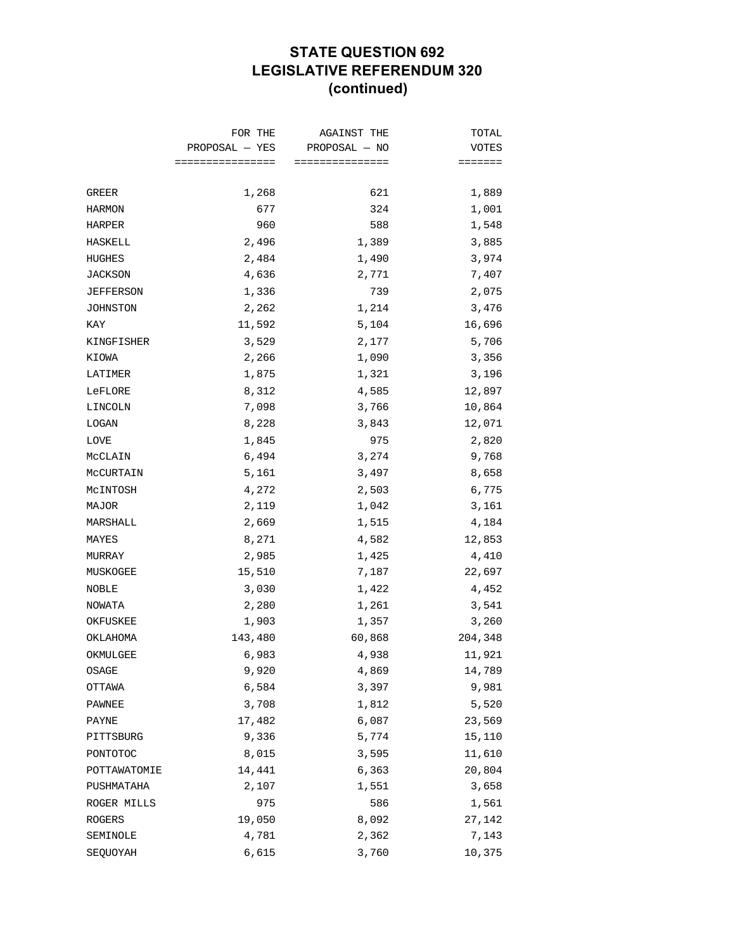## **STATE QUESTION 692 LEGISLATIVE REFERENDUM 320 (continued)**

| $PROPOSAL - YES$<br>PROPOSAL - NO<br>================<br>===============<br>1,268<br>621<br>1,889<br>GREER<br>324<br>1,001<br>HARMON<br>677<br>1,548<br>960<br>588<br>HARPER<br>2,496<br>3,885<br>1,389<br>HASKELL<br>3,974<br>2,484<br>1,490<br><b>HUGHES</b><br>JACKSON<br>4,636<br>2,771<br>7,407<br>739<br>2,075<br><b>JEFFERSON</b><br>1,336<br>2,262<br>1,214<br>3,476<br>JOHNSTON<br>5,104<br>KAY<br>11,592<br>16,696<br>3,529<br>2,177<br>5,706<br>KINGFISHER<br>2,266<br>3,356<br>KIOWA<br>1,090<br>3,196<br>LATIMER<br>1,875<br>1,321<br>4,585<br>12,897<br>LeFLORE<br>8,312<br>7,098<br>LINCOLN<br>3,766<br>10,864<br>LOGAN<br>8,228<br>3,843<br>12,071<br>1,845<br>975<br>2,820<br>LOVE<br>6,494<br>3,274<br>9,768<br>MCCLAIN<br>5,161<br>MCCURTAIN<br>3,497<br>8,658<br>4,272<br>2,503<br>6,775<br>MCINTOSH<br>3,161<br>2,119<br>1,042<br>MAJOR<br>2,669<br>MARSHALL<br>1,515<br>4,184<br>8,271<br>4,582<br>12,853<br>MAYES<br>2,985<br>4,410<br>MURRAY<br>1,425 | FOR THE | AGAINST THE | TOTAL           |
|-------------------------------------------------------------------------------------------------------------------------------------------------------------------------------------------------------------------------------------------------------------------------------------------------------------------------------------------------------------------------------------------------------------------------------------------------------------------------------------------------------------------------------------------------------------------------------------------------------------------------------------------------------------------------------------------------------------------------------------------------------------------------------------------------------------------------------------------------------------------------------------------------------------------------------------------------------------------------------|---------|-------------|-----------------|
|                                                                                                                                                                                                                                                                                                                                                                                                                                                                                                                                                                                                                                                                                                                                                                                                                                                                                                                                                                               |         |             | VOTES           |
|                                                                                                                                                                                                                                                                                                                                                                                                                                                                                                                                                                                                                                                                                                                                                                                                                                                                                                                                                                               |         |             | $=$ = = = = = = |
|                                                                                                                                                                                                                                                                                                                                                                                                                                                                                                                                                                                                                                                                                                                                                                                                                                                                                                                                                                               |         |             |                 |
|                                                                                                                                                                                                                                                                                                                                                                                                                                                                                                                                                                                                                                                                                                                                                                                                                                                                                                                                                                               |         |             |                 |
|                                                                                                                                                                                                                                                                                                                                                                                                                                                                                                                                                                                                                                                                                                                                                                                                                                                                                                                                                                               |         |             |                 |
|                                                                                                                                                                                                                                                                                                                                                                                                                                                                                                                                                                                                                                                                                                                                                                                                                                                                                                                                                                               |         |             |                 |
|                                                                                                                                                                                                                                                                                                                                                                                                                                                                                                                                                                                                                                                                                                                                                                                                                                                                                                                                                                               |         |             |                 |
|                                                                                                                                                                                                                                                                                                                                                                                                                                                                                                                                                                                                                                                                                                                                                                                                                                                                                                                                                                               |         |             |                 |
|                                                                                                                                                                                                                                                                                                                                                                                                                                                                                                                                                                                                                                                                                                                                                                                                                                                                                                                                                                               |         |             |                 |
|                                                                                                                                                                                                                                                                                                                                                                                                                                                                                                                                                                                                                                                                                                                                                                                                                                                                                                                                                                               |         |             |                 |
|                                                                                                                                                                                                                                                                                                                                                                                                                                                                                                                                                                                                                                                                                                                                                                                                                                                                                                                                                                               |         |             |                 |
|                                                                                                                                                                                                                                                                                                                                                                                                                                                                                                                                                                                                                                                                                                                                                                                                                                                                                                                                                                               |         |             |                 |
|                                                                                                                                                                                                                                                                                                                                                                                                                                                                                                                                                                                                                                                                                                                                                                                                                                                                                                                                                                               |         |             |                 |
|                                                                                                                                                                                                                                                                                                                                                                                                                                                                                                                                                                                                                                                                                                                                                                                                                                                                                                                                                                               |         |             |                 |
|                                                                                                                                                                                                                                                                                                                                                                                                                                                                                                                                                                                                                                                                                                                                                                                                                                                                                                                                                                               |         |             |                 |
|                                                                                                                                                                                                                                                                                                                                                                                                                                                                                                                                                                                                                                                                                                                                                                                                                                                                                                                                                                               |         |             |                 |
|                                                                                                                                                                                                                                                                                                                                                                                                                                                                                                                                                                                                                                                                                                                                                                                                                                                                                                                                                                               |         |             |                 |
|                                                                                                                                                                                                                                                                                                                                                                                                                                                                                                                                                                                                                                                                                                                                                                                                                                                                                                                                                                               |         |             |                 |
|                                                                                                                                                                                                                                                                                                                                                                                                                                                                                                                                                                                                                                                                                                                                                                                                                                                                                                                                                                               |         |             |                 |
|                                                                                                                                                                                                                                                                                                                                                                                                                                                                                                                                                                                                                                                                                                                                                                                                                                                                                                                                                                               |         |             |                 |
|                                                                                                                                                                                                                                                                                                                                                                                                                                                                                                                                                                                                                                                                                                                                                                                                                                                                                                                                                                               |         |             |                 |
|                                                                                                                                                                                                                                                                                                                                                                                                                                                                                                                                                                                                                                                                                                                                                                                                                                                                                                                                                                               |         |             |                 |
|                                                                                                                                                                                                                                                                                                                                                                                                                                                                                                                                                                                                                                                                                                                                                                                                                                                                                                                                                                               |         |             |                 |
|                                                                                                                                                                                                                                                                                                                                                                                                                                                                                                                                                                                                                                                                                                                                                                                                                                                                                                                                                                               |         |             |                 |
|                                                                                                                                                                                                                                                                                                                                                                                                                                                                                                                                                                                                                                                                                                                                                                                                                                                                                                                                                                               |         |             |                 |
| 15,510<br>7,187<br>MUSKOGEE                                                                                                                                                                                                                                                                                                                                                                                                                                                                                                                                                                                                                                                                                                                                                                                                                                                                                                                                                   |         |             | 22,697          |
| NOBLE<br>3,030<br>1,422                                                                                                                                                                                                                                                                                                                                                                                                                                                                                                                                                                                                                                                                                                                                                                                                                                                                                                                                                       |         |             | 4,452           |
| 2,280<br>1,261<br>NOWATA                                                                                                                                                                                                                                                                                                                                                                                                                                                                                                                                                                                                                                                                                                                                                                                                                                                                                                                                                      |         |             | 3,541           |
| 1,903<br>1,357<br>OKFUSKEE                                                                                                                                                                                                                                                                                                                                                                                                                                                                                                                                                                                                                                                                                                                                                                                                                                                                                                                                                    |         |             | 3,260           |
| 143,480<br>60,868<br>OKLAHOMA                                                                                                                                                                                                                                                                                                                                                                                                                                                                                                                                                                                                                                                                                                                                                                                                                                                                                                                                                 |         |             | 204,348         |
| 6,983<br>4,938<br>OKMULGEE                                                                                                                                                                                                                                                                                                                                                                                                                                                                                                                                                                                                                                                                                                                                                                                                                                                                                                                                                    |         |             | 11,921          |
| 9,920<br>4,869<br>OSAGE                                                                                                                                                                                                                                                                                                                                                                                                                                                                                                                                                                                                                                                                                                                                                                                                                                                                                                                                                       |         |             | 14,789          |
| 6,584<br>3,397<br>OTTAWA                                                                                                                                                                                                                                                                                                                                                                                                                                                                                                                                                                                                                                                                                                                                                                                                                                                                                                                                                      |         |             | 9,981           |
| 3,708<br>1,812<br>PAWNEE                                                                                                                                                                                                                                                                                                                                                                                                                                                                                                                                                                                                                                                                                                                                                                                                                                                                                                                                                      |         |             | 5,520           |
| 17,482<br>6,087<br>PAYNE                                                                                                                                                                                                                                                                                                                                                                                                                                                                                                                                                                                                                                                                                                                                                                                                                                                                                                                                                      |         |             | 23,569          |
| 9,336<br>5,774<br>PITTSBURG                                                                                                                                                                                                                                                                                                                                                                                                                                                                                                                                                                                                                                                                                                                                                                                                                                                                                                                                                   |         |             | 15,110          |
| 8,015<br>3,595<br>PONTOTOC                                                                                                                                                                                                                                                                                                                                                                                                                                                                                                                                                                                                                                                                                                                                                                                                                                                                                                                                                    |         |             | 11,610          |
| POTTAWATOMIE<br>14,441<br>6,363                                                                                                                                                                                                                                                                                                                                                                                                                                                                                                                                                                                                                                                                                                                                                                                                                                                                                                                                               |         |             | 20,804          |
| 2,107<br>1,551<br>PUSHMATAHA                                                                                                                                                                                                                                                                                                                                                                                                                                                                                                                                                                                                                                                                                                                                                                                                                                                                                                                                                  |         |             | 3,658           |
| 975<br>586<br>ROGER MILLS                                                                                                                                                                                                                                                                                                                                                                                                                                                                                                                                                                                                                                                                                                                                                                                                                                                                                                                                                     |         |             | 1,561           |
| 19,050<br>8,092<br>ROGERS                                                                                                                                                                                                                                                                                                                                                                                                                                                                                                                                                                                                                                                                                                                                                                                                                                                                                                                                                     |         |             | 27,142          |
| 4,781<br>2,362<br>SEMINOLE                                                                                                                                                                                                                                                                                                                                                                                                                                                                                                                                                                                                                                                                                                                                                                                                                                                                                                                                                    |         |             | 7,143           |
| SEQUOYAH<br>6,615<br>3,760                                                                                                                                                                                                                                                                                                                                                                                                                                                                                                                                                                                                                                                                                                                                                                                                                                                                                                                                                    |         |             | 10,375          |